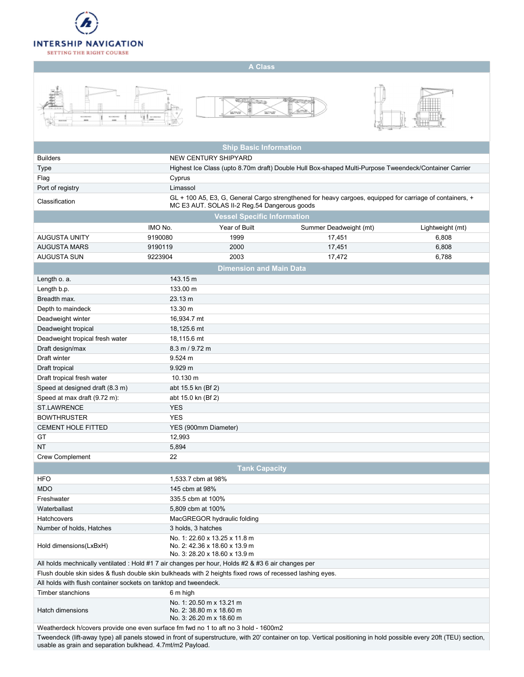

## A Class







|                                                                                                                                                                     |                                                                                  | <b>Ship Basic Information</b>                                                                                                                            |                        |                  |  |  |  |  |  |  |
|---------------------------------------------------------------------------------------------------------------------------------------------------------------------|----------------------------------------------------------------------------------|----------------------------------------------------------------------------------------------------------------------------------------------------------|------------------------|------------------|--|--|--|--|--|--|
| <b>Builders</b>                                                                                                                                                     |                                                                                  | NEW CENTURY SHIPYARD                                                                                                                                     |                        |                  |  |  |  |  |  |  |
| <b>Type</b>                                                                                                                                                         |                                                                                  | Highest Ice Class (upto 8.70m draft) Double Hull Box-shaped Multi-Purpose Tweendeck/Container Carrier                                                    |                        |                  |  |  |  |  |  |  |
| Flag                                                                                                                                                                | Cyprus                                                                           |                                                                                                                                                          |                        |                  |  |  |  |  |  |  |
| Port of registry                                                                                                                                                    | Limassol                                                                         |                                                                                                                                                          |                        |                  |  |  |  |  |  |  |
| Classification                                                                                                                                                      |                                                                                  | GL + 100 A5, E3, G, General Cargo strengthened for heavy cargoes, equipped for carriage of containers, +<br>MC E3 AUT. SOLAS II-2 Reg.54 Dangerous goods |                        |                  |  |  |  |  |  |  |
| <b>Vessel Specific Information</b>                                                                                                                                  |                                                                                  |                                                                                                                                                          |                        |                  |  |  |  |  |  |  |
|                                                                                                                                                                     | IMO No.                                                                          | Year of Built                                                                                                                                            | Summer Deadweight (mt) | Lightweight (mt) |  |  |  |  |  |  |
| <b>AUGUSTA UNITY</b>                                                                                                                                                | 9190080                                                                          | 1999                                                                                                                                                     | 17,451                 | 6,808            |  |  |  |  |  |  |
| <b>AUGUSTA MARS</b>                                                                                                                                                 | 9190119                                                                          | 2000                                                                                                                                                     | 17,451                 | 6,808            |  |  |  |  |  |  |
| <b>AUGUSTA SUN</b>                                                                                                                                                  | 9223904                                                                          | 2003                                                                                                                                                     | 17,472                 | 6,788            |  |  |  |  |  |  |
| <b>Dimension and Main Data</b>                                                                                                                                      |                                                                                  |                                                                                                                                                          |                        |                  |  |  |  |  |  |  |
| Length o. a.                                                                                                                                                        | 143.15 m                                                                         |                                                                                                                                                          |                        |                  |  |  |  |  |  |  |
| Length b.p.                                                                                                                                                         | 133.00 m                                                                         |                                                                                                                                                          |                        |                  |  |  |  |  |  |  |
| Breadth max.                                                                                                                                                        | 23.13 m                                                                          |                                                                                                                                                          |                        |                  |  |  |  |  |  |  |
| Depth to maindeck                                                                                                                                                   | 13.30 m                                                                          |                                                                                                                                                          |                        |                  |  |  |  |  |  |  |
| Deadweight winter                                                                                                                                                   | 16,934.7 mt                                                                      |                                                                                                                                                          |                        |                  |  |  |  |  |  |  |
| Deadweight tropical                                                                                                                                                 | 18,125.6 mt                                                                      |                                                                                                                                                          |                        |                  |  |  |  |  |  |  |
| Deadweight tropical fresh water                                                                                                                                     | 18,115.6 mt                                                                      |                                                                                                                                                          |                        |                  |  |  |  |  |  |  |
| Draft design/max                                                                                                                                                    | $8.3 \text{ m} / 9.72 \text{ m}$                                                 |                                                                                                                                                          |                        |                  |  |  |  |  |  |  |
| Draft winter                                                                                                                                                        | $9.524 \text{ m}$                                                                |                                                                                                                                                          |                        |                  |  |  |  |  |  |  |
| Draft tropical                                                                                                                                                      | 9.929 m                                                                          |                                                                                                                                                          |                        |                  |  |  |  |  |  |  |
| Draft tropical fresh water                                                                                                                                          | 10.130 m                                                                         |                                                                                                                                                          |                        |                  |  |  |  |  |  |  |
| Speed at designed draft (8.3 m)                                                                                                                                     | abt 15.5 kn (Bf 2)                                                               |                                                                                                                                                          |                        |                  |  |  |  |  |  |  |
| Speed at max draft (9.72 m):                                                                                                                                        | abt 15.0 kn (Bf 2)                                                               |                                                                                                                                                          |                        |                  |  |  |  |  |  |  |
| <b>ST.LAWRENCE</b>                                                                                                                                                  | <b>YES</b>                                                                       |                                                                                                                                                          |                        |                  |  |  |  |  |  |  |
| <b>BOWTHRUSTER</b>                                                                                                                                                  | <b>YES</b>                                                                       |                                                                                                                                                          |                        |                  |  |  |  |  |  |  |
| <b>CEMENT HOLE FITTED</b>                                                                                                                                           |                                                                                  |                                                                                                                                                          |                        |                  |  |  |  |  |  |  |
| GT                                                                                                                                                                  | 12,993                                                                           | YES (900mm Diameter)                                                                                                                                     |                        |                  |  |  |  |  |  |  |
| NT                                                                                                                                                                  | 5,894                                                                            |                                                                                                                                                          |                        |                  |  |  |  |  |  |  |
| <b>Crew Complement</b>                                                                                                                                              | 22                                                                               |                                                                                                                                                          |                        |                  |  |  |  |  |  |  |
|                                                                                                                                                                     |                                                                                  | <b>Tank Capacity</b>                                                                                                                                     |                        |                  |  |  |  |  |  |  |
|                                                                                                                                                                     | 1.533.7 cbm at 98%                                                               |                                                                                                                                                          |                        |                  |  |  |  |  |  |  |
| <b>HFO</b><br><b>MDO</b>                                                                                                                                            | 145 cbm at 98%                                                                   |                                                                                                                                                          |                        |                  |  |  |  |  |  |  |
|                                                                                                                                                                     |                                                                                  |                                                                                                                                                          |                        |                  |  |  |  |  |  |  |
| Freshwater                                                                                                                                                          | 335.5 cbm at 100%                                                                |                                                                                                                                                          |                        |                  |  |  |  |  |  |  |
| Waterballast                                                                                                                                                        | 5,809 cbm at 100%                                                                |                                                                                                                                                          |                        |                  |  |  |  |  |  |  |
| Hatchcovers                                                                                                                                                         |                                                                                  | MacGREGOR hydraulic folding                                                                                                                              |                        |                  |  |  |  |  |  |  |
| Number of holds, Hatches                                                                                                                                            | 3 holds, 3 hatches                                                               |                                                                                                                                                          |                        |                  |  |  |  |  |  |  |
| Hold dimensions(LxBxH)                                                                                                                                              |                                                                                  | No. 1: 22.60 x 13.25 x 11.8 m<br>No. 2: 42.36 x 18.60 x 13.9 m<br>No. 3: 28.20 x 18.60 x 13.9 m                                                          |                        |                  |  |  |  |  |  |  |
| All holds mechnically ventilated : Hold #1 7 air changes per hour, Holds #2 & #3 6 air changes per                                                                  |                                                                                  |                                                                                                                                                          |                        |                  |  |  |  |  |  |  |
| Flush double skin sides & flush double skin bulkheads with 2 heights fixed rows of recessed lashing eyes.                                                           |                                                                                  |                                                                                                                                                          |                        |                  |  |  |  |  |  |  |
| All holds with flush container sockets on tanktop and tweendeck.                                                                                                    |                                                                                  |                                                                                                                                                          |                        |                  |  |  |  |  |  |  |
| Timber stanchions                                                                                                                                                   | 6 m high                                                                         |                                                                                                                                                          |                        |                  |  |  |  |  |  |  |
| Hatch dimensions                                                                                                                                                    | No. 1: 20.50 m x 13.21 m<br>No. 2: 38.80 m x 18.60 m<br>No. 3: 26.20 m x 18.60 m |                                                                                                                                                          |                        |                  |  |  |  |  |  |  |
| Weatherdeck h/covers provide one even surface fm fwd no 1 to aft no 3 hold - 1600m2                                                                                 |                                                                                  |                                                                                                                                                          |                        |                  |  |  |  |  |  |  |
| Tweendeck (lift-away type) all panels stowed in front of superstructure, with 20' container on top. Vertical positioning in hold possible every 20ft (TEU) section, |                                                                                  |                                                                                                                                                          |                        |                  |  |  |  |  |  |  |

usable as grain and separation bulkhead. 4.7mt/m2 Payload.